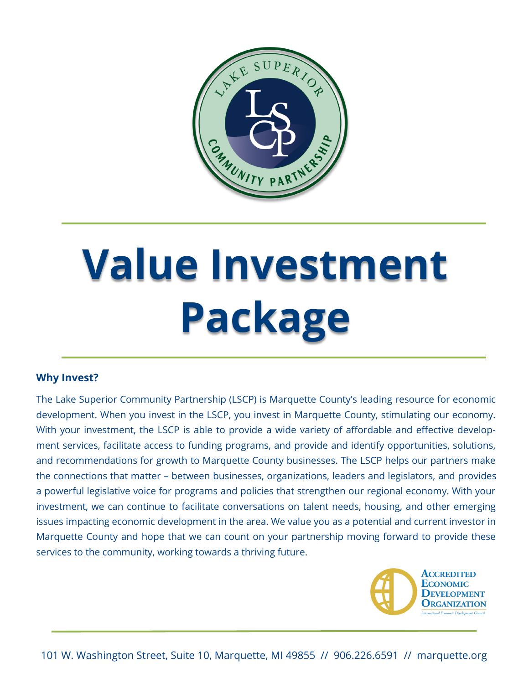

# **Value Investment Package**

#### **Why Invest?**

The Lake Superior Community Partnership (LSCP) is Marquette County's leading resource for economic development. When you invest in the LSCP, you invest in Marquette County, stimulating our economy. With your investment, the LSCP is able to provide a wide variety of affordable and effective development services, facilitate access to funding programs, and provide and identify opportunities, solutions, and recommendations for growth to Marquette County businesses. The LSCP helps our partners make the connections that matter – between businesses, organizations, leaders and legislators, and provides a powerful legislative voice for programs and policies that strengthen our regional economy. With your investment, we can continue to facilitate conversations on talent needs, housing, and other emerging issues impacting economic development in the area. We value you as a potential and current investor in Marquette County and hope that we can count on your partnership moving forward to provide these services to the community, working towards a thriving future.

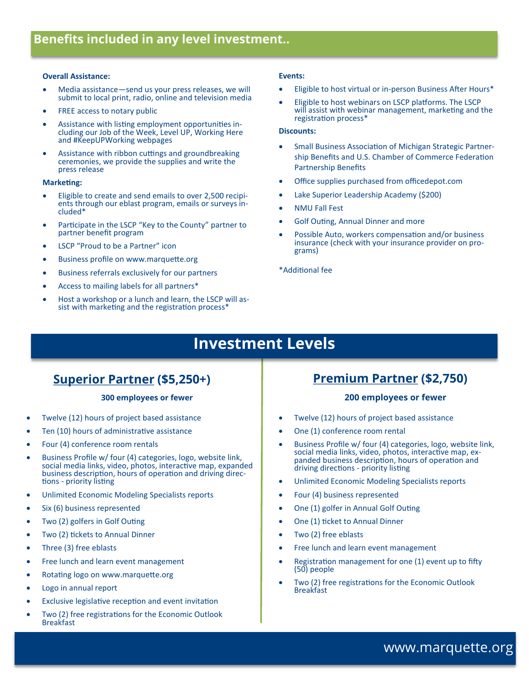#### **Overall Assistance:**

- Media assistance-send us your press releases, we will submit to local print, radio, online and television media
- FREE access to notary public
- Assistance with listing employment opportunities including our Job of the Week, Level UP, Working Here and #KeepUPWorking webpages
- Assistance with ribbon cuttings and groundbreaking ceremonies, we provide the supplies and write the press release

#### **Marketing:**

- Eligible to create and send emails to over 2,500 recipients through our eblast program, emails or surveys included\*
- Participate in the LSCP "Key to the County" partner to partner benefit program
- LSCP "Proud to be a Partner" icon
- Business profile on www.marquette.org
- Business referrals exclusively for our partners
- Access to mailing labels for all partners\*
- Host a workshop or a lunch and learn, the LSCP will assist with marketing and the registration process\*

#### **Events:**

- Eligible to host virtual or in-person Business After Hours\*
- Eligible to host webinars on LSCP platforms. The LSCP will assist with webinar management, marketing and the registration process\*

#### **Discounts:**

- Small Business Association of Michigan Strategic Partnership Benefits and U.S. Chamber of Commerce Federation Partnership Benefits
- Office supplies purchased from officedepot.com
- Lake Superior Leadership Academy (\$200)
- NMU Fall Fest
- Golf Outing, Annual Dinner and more
- Possible Auto, workers compensation and/or business insurance (check with your insurance provider on programs)
- \*Additional fee

# **Investment Levels**

### **Superior Partner (\$5,250+)**

#### **300 employees or fewer**

- Twelve (12) hours of project based assistance
- Ten (10) hours of administrative assistance
- Four (4) conference room rentals
- Business Profile w/ four (4) categories, logo, website link, social media links, video, photos, interactive map, expanded business description, hours of operation and driving directions - priority listing
- Unlimited Economic Modeling Specialists reports
- Six (6) business represented
- Two (2) golfers in Golf Outing
- Two (2) tickets to Annual Dinner
- Three (3) free eblasts
- Free lunch and learn event management
- Rotating logo on www.marquette.org
- Logo in annual report
- Exclusive legislative reception and event invitation
- Two (2) free registrations for the Economic Outlook Breakfast

#### **Premium Partner (\$2,750)**

#### **200 employees or fewer**

- Twelve (12) hours of project based assistance
- One (1) conference room rental
- Business Profile w/ four (4) categories, logo, website link, social media links, video, photos, interactive map, expanded business description, hours of operation and driving directions - priority listing
- Unlimited Economic Modeling Specialists reports
- Four (4) business represented
- One (1) golfer in Annual Golf Outing
- One (1) ticket to Annual Dinner
- Two (2) free eblasts
- Free lunch and learn event management
- Registration management for one (1) event up to fifty (50) people
- Two (2) free registrations for the Economic Outlook Breakfast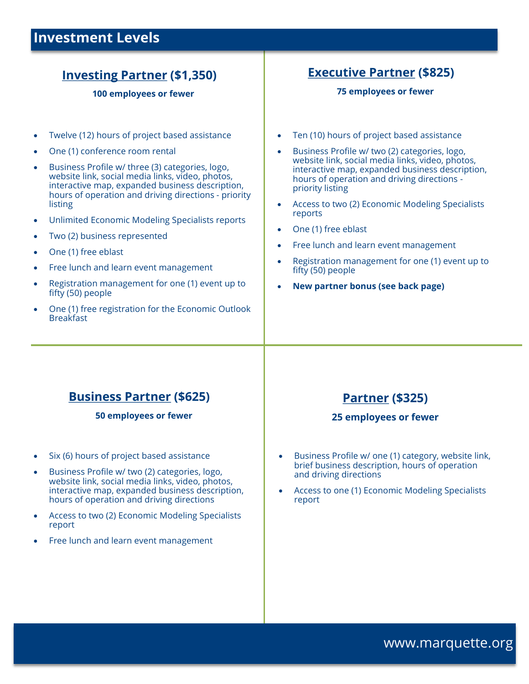# **Investment Levels**

# **Investing Partner (\$1,350)**

**100 employees or fewer**

- Twelve (12) hours of project based assistance
- One (1) conference room rental
- Business Profile w/ three (3) categories, logo, website link, social media links, video, photos, interactive map, expanded business description, hours of operation and driving directions - priority listing
- Unlimited Economic Modeling Specialists reports
- Two (2) business represented
- One (1) free eblast
- Free lunch and learn event management
- Registration management for one (1) event up to fifty (50) people
- One (1) free registration for the Economic Outlook Breakfast

# **Executive Partner (\$825)**

#### **75 employees or fewer**

- Ten (10) hours of project based assistance
- Business Profile w/ two (2) categories, logo, website link, social media links, video, photos, interactive map, expanded business description, hours of operation and driving directions priority listing
- Access to two (2) Economic Modeling Specialists reports
- One (1) free eblast
- Free lunch and learn event management
- Registration management for one (1) event up to fifty (50) people
- **New partner bonus (see back page)**

### **Business Partner (\$625)**

#### **50 employees or fewer**

- Six (6) hours of project based assistance
- Business Profile w/ two (2) categories, logo, website link, social media links, video, photos, interactive map, expanded business description, hours of operation and driving directions
- Access to two (2) Economic Modeling Specialists report
- Free lunch and learn event management

# **Partner (\$325)**

#### **25 employees or fewer**

- Business Profile w/ one (1) category, website link, brief business description, hours of operation and driving directions
- Access to one (1) Economic Modeling Specialists report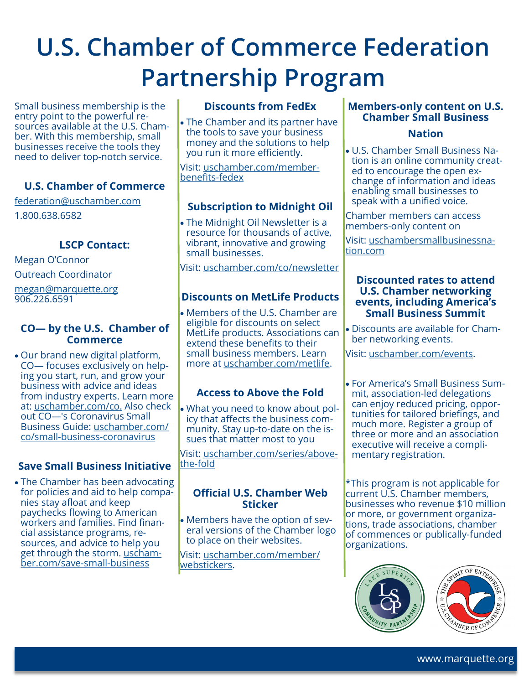# **U.S. Chamber of Commerce Federation Partnership Program**

Small business membership is the entry point to the powerful resources available at the U.S. Chamber. With this membership, small businesses receive the tools they need to deliver top-notch service.

#### **U.S. Chamber of Commerce**

[federation@uschamber.com](mailto:federation@uschamber.com) 1.800.638.6582

#### **LSCP Contact:**

Megan O'Connor Outreach Coordinator

[megan@marquette.org](mailto:megan@marquette.org) 906.226.6591

#### **CO— by the U.S. Chamber of Commerce**

• Our brand new digital platform, CO— focuses exclusively on helping you start, run, and grow your business with advice and ideas from industry experts. Learn more at: [uschamber.com/co.](https://www.uschamber.com/co/) Also check out CO—'s Coronavirus Small Business Guide: [uschamber.com/](https://www.uschamber.com/co/small-business-coronavirus) co/small-business-[coronavirus](https://www.uschamber.com/co/small-business-coronavirus)

#### **Save Small Business Initiative**

• The Chamber has been advocating for policies and aid to help companies stay afloat and keep paychecks flowing to American workers and families. Find financial assistance programs, resources, and advice to help you get through the storm. [uscham](https://www.uschamber.com/save-small-business)[ber.com/save](https://www.uschamber.com/save-small-business)-small-business

#### **Discounts from FedEx**

• The Chamber and its partner have the tools to save your business money and the solutions to help you run it more efficiently.

Visit: [uschamber.com/member](https://www.uschamber.com/member-benefits-fedex)[benefits](https://www.uschamber.com/member-benefits-fedex)-fedex

#### **Subscription to Midnight Oil**

• The Midnight Oil Newsletter is a resource for thousands of active, vibrant, innovative and growing small businesses.

Visit: [uschamber.com/co/newsletter](https://www.uschamber.com/co/newsletter)

#### **Discounts on MetLife Products**

• Members of the U.S. Chamber are eligible for discounts on select MetLife products. Associations can extend these benefits to their small business members. Learn more at [uschamber.com/metlife.](https://www.uschamber.com/members/join/metlife-benefits-programs) 

#### **Access to Above the Fold**

• What you need to know about policy that affects the business community. Stay up-to-date on the issues that matter most to you

Visit: [uschamber.com/series/above](https://www.uschamber.com/series/above-the-fold)the-[fold](https://www.uschamber.com/series/above-the-fold)

#### **Official U.S. Chamber Web Sticker**

• Members have the option of several versions of the Chamber logo to place on their websites.

Visit: [uschamber.com/member/](https://www.uschamber.com/member/webstickers) [webstickers.](https://www.uschamber.com/member/webstickers) 

#### **Members-only content on U.S. Chamber Small Business**

#### **Nation**

• U.S. Chamber Small Business Nation is an online community created to encourage the open exchange of information and ideas enabling small businesses to speak with a unified voice.

Chamber members can access members-only content on

Visit: [uschambersmallbusinessna](https://uschambersmallbusinessnation.com/)[tion.com](https://uschambersmallbusinessnation.com/)

#### **Discounted rates to attend U.S. Chamber networking events, including America's Small Business Summit**

• Discounts are available for Chamber networking events.

Visit: [uschamber.com/events.](https://www.uschamber.com/events/upcoming-events)

• For America's Small Business Summit, association-led delegations can enjoy reduced pricing, opportunities for tailored briefings, and much more. Register a group of three or more and an association executive will receive a complimentary registration.

\*This program is not applicable for current U.S. Chamber members, businesses who revenue \$10 million or more, or government organizations, trade associations, chamber of commences or publically-funded organizations.

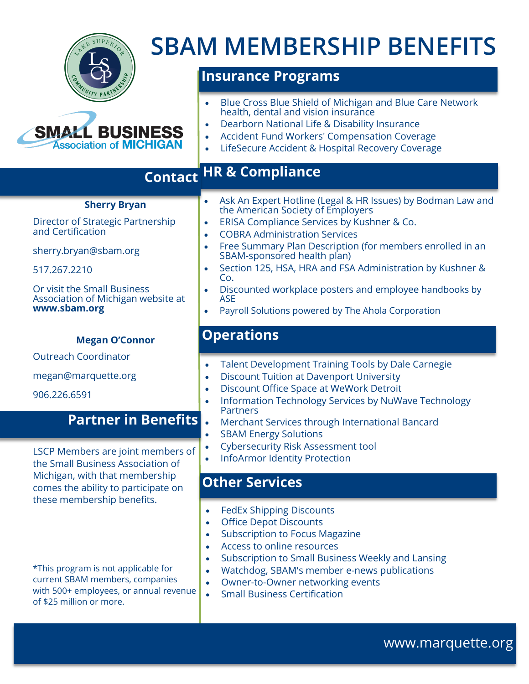

# **SBAM MEMBERSHIP BENEFITS**

# **Insurance Programs**

- Blue Cross Blue Shield of Michigan and Blue Care Network health, dental and vision insurance
- Dearborn National Life & Disability Insurance
- Accident Fund Workers' Compensation Coverage
- LifeSecure Accident & Hospital Recovery Coverage

#### **HR & Compliance Contact**

#### **Sherry Bryan**

**SMALL BUSINESS Association of MICHIGAN** 

Director of Strategic Partnership and Certification

sherry.bryan@sbam.org

517.267.2210

Or visit the Small Business Association of Michigan website at **www.sbam.org**

#### **Megan O'Connor**

Outreach Coordinator

megan@marquette.org

906.226.6591

# **Partner in Benefits**

LSCP Members are joint members of the Small Business Association of Michigan, with that membership comes the ability to participate on these membership benefits.

- Ask An Expert Hotline (Legal & HR Issues) by Bodman Law and the American Society of Employers
- ERISA Compliance Services by Kushner & Co.
- COBRA Administration Services
- Free Summary Plan Description (for members enrolled in an SBAM-sponsored health plan)
- Section 125, HSA, HRA and FSA Administration by Kushner & Co.
- Discounted workplace posters and employee handbooks by ASE
- Payroll Solutions powered by The Ahola Corporation

# **Operations**

- Talent Development Training Tools by Dale Carnegie
- Discount Tuition at Davenport University
- Discount Office Space at WeWork Detroit
- Information Technology Services by NuWave Technology Partners
- Merchant Services through International Bancard
- **SBAM Energy Solutions**
- Cybersecurity Risk Assessment tool
- InfoArmor Identity Protection

# **Other Services**

- FedEx Shipping Discounts
- Office Depot Discounts
- Subscription to Focus Magazine
- Access to online resources
- Subscription to Small Business Weekly and Lansing
- Watchdog, SBAM's member e-news publications
- Owner-to-Owner networking events
- **Small Business Certification**

\*This program is not applicable for current SBAM members, companies with 500+ employees, or annual revenue of \$25 million or more.

www.marquette.org